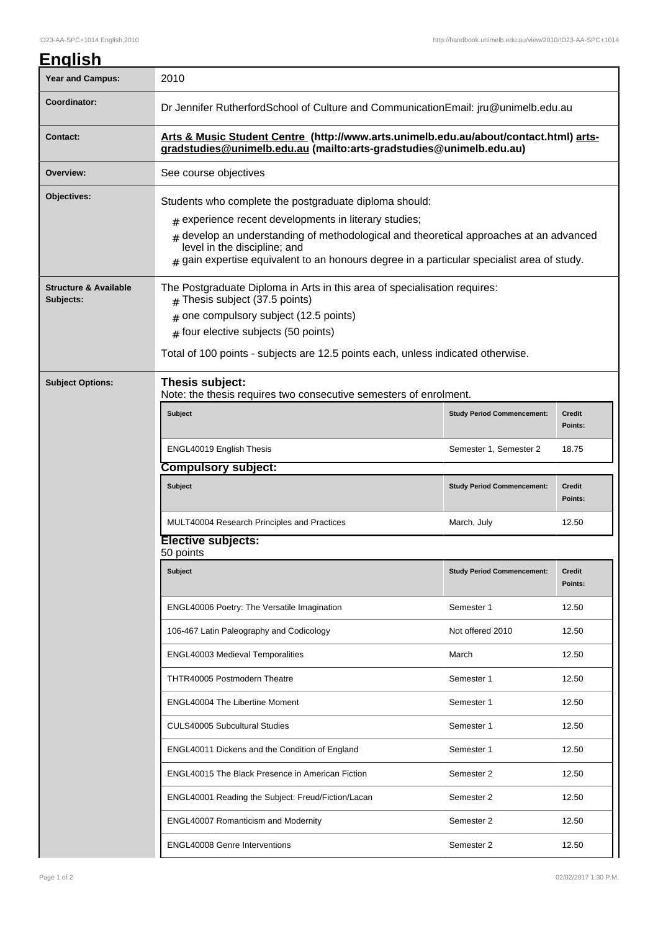## **English**

| <b>Year and Campus:</b>                       | 2010                                                                                                                                                                                                                                                                                                                                            |                                   |                          |  |  |
|-----------------------------------------------|-------------------------------------------------------------------------------------------------------------------------------------------------------------------------------------------------------------------------------------------------------------------------------------------------------------------------------------------------|-----------------------------------|--------------------------|--|--|
| Coordinator:                                  | Dr Jennifer RutherfordSchool of Culture and CommunicationEmail: jru@unimelb.edu.au                                                                                                                                                                                                                                                              |                                   |                          |  |  |
| <b>Contact:</b>                               | Arts & Music Student Centre (http://www.arts.unimelb.edu.au/about/contact.html) arts-<br>gradstudies@unimelb.edu.au (mailto:arts-gradstudies@unimelb.edu.au)                                                                                                                                                                                    |                                   |                          |  |  |
| Overview:                                     | See course objectives                                                                                                                                                                                                                                                                                                                           |                                   |                          |  |  |
| Objectives:                                   | Students who complete the postgraduate diploma should:<br>$#$ experience recent developments in literary studies;<br>develop an understanding of methodological and theoretical approaches at an advanced<br>#<br>level in the discipline; and<br>gain expertise equivalent to an honours degree in a particular specialist area of study.<br># |                                   |                          |  |  |
| <b>Structure &amp; Available</b><br>Subjects: | The Postgraduate Diploma in Arts in this area of specialisation requires:<br>Thesis subject (37.5 points)<br>#<br>one compulsory subject (12.5 points)<br>#<br>$#$ four elective subjects (50 points)<br>Total of 100 points - subjects are 12.5 points each, unless indicated otherwise.                                                       |                                   |                          |  |  |
| <b>Subject Options:</b>                       | Thesis subject:<br>Note: the thesis requires two consecutive semesters of enrolment.                                                                                                                                                                                                                                                            |                                   |                          |  |  |
|                                               | <b>Subject</b>                                                                                                                                                                                                                                                                                                                                  | <b>Study Period Commencement:</b> | Credit<br>Points:        |  |  |
|                                               | ENGL40019 English Thesis                                                                                                                                                                                                                                                                                                                        | Semester 1, Semester 2            | 18.75                    |  |  |
|                                               | <b>Compulsory subject:</b>                                                                                                                                                                                                                                                                                                                      |                                   |                          |  |  |
|                                               | <b>Subject</b>                                                                                                                                                                                                                                                                                                                                  | <b>Study Period Commencement:</b> | <b>Credit</b><br>Points: |  |  |
|                                               | MULT40004 Research Principles and Practices                                                                                                                                                                                                                                                                                                     | March, July                       | 12.50                    |  |  |
|                                               | <b>Elective subjects:</b><br>50 points                                                                                                                                                                                                                                                                                                          |                                   |                          |  |  |
|                                               | <b>Subject</b>                                                                                                                                                                                                                                                                                                                                  | <b>Study Period Commencement:</b> | <b>Credit</b><br>Points: |  |  |
|                                               | ENGL40006 Poetry: The Versatile Imagination                                                                                                                                                                                                                                                                                                     | Semester 1                        | 12.50                    |  |  |
|                                               | 106-467 Latin Paleography and Codicology                                                                                                                                                                                                                                                                                                        | Not offered 2010                  | 12.50                    |  |  |
|                                               | ENGL40003 Medieval Temporalities                                                                                                                                                                                                                                                                                                                | March                             | 12.50                    |  |  |
|                                               | THTR40005 Postmodern Theatre                                                                                                                                                                                                                                                                                                                    | Semester 1                        | 12.50                    |  |  |
|                                               | ENGL40004 The Libertine Moment                                                                                                                                                                                                                                                                                                                  | Semester 1                        | 12.50                    |  |  |
|                                               | <b>CULS40005 Subcultural Studies</b>                                                                                                                                                                                                                                                                                                            | Semester 1                        | 12.50                    |  |  |
|                                               | ENGL40011 Dickens and the Condition of England                                                                                                                                                                                                                                                                                                  | Semester 1                        | 12.50                    |  |  |
|                                               | ENGL40015 The Black Presence in American Fiction                                                                                                                                                                                                                                                                                                | Semester 2                        | 12.50                    |  |  |
|                                               | ENGL40001 Reading the Subject: Freud/Fiction/Lacan                                                                                                                                                                                                                                                                                              | Semester 2                        | 12.50                    |  |  |
|                                               | ENGL40007 Romanticism and Modernity                                                                                                                                                                                                                                                                                                             | Semester 2                        | 12.50                    |  |  |
|                                               | <b>ENGL40008 Genre Interventions</b>                                                                                                                                                                                                                                                                                                            | Semester 2                        | 12.50                    |  |  |